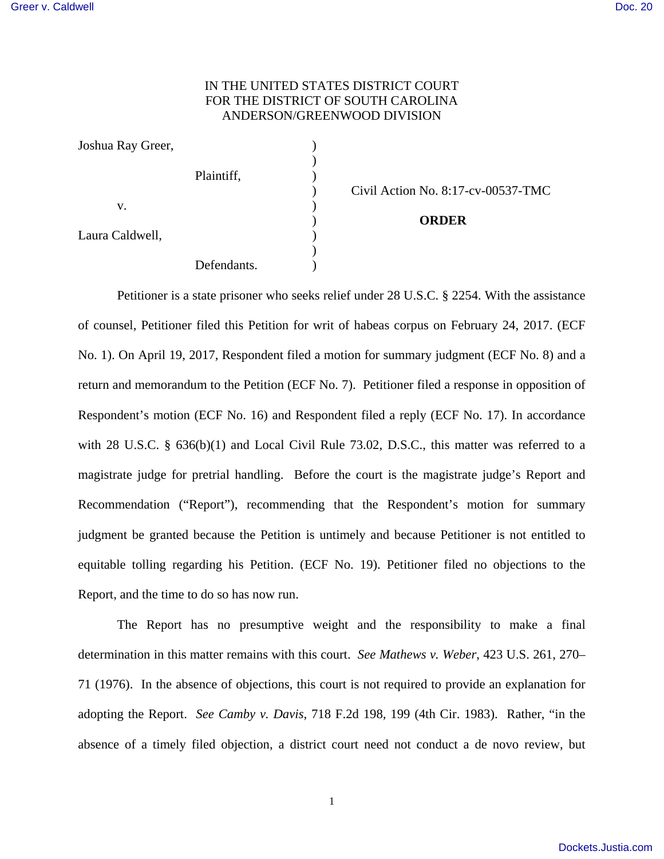## IN THE UNITED STATES DISTRICT COURT FOR THE DISTRICT OF SOUTH CAROLINA ANDERSON/GREENWOOD DIVISION

| Joshua Ray Greer, |             |  |
|-------------------|-------------|--|
|                   | Plaintiff,  |  |
| V.                |             |  |
| Laura Caldwell,   |             |  |
|                   | Defendants. |  |

) Civil Action No. 8:17-cv-00537-TMC

## ) **ORDER**

Petitioner is a state prisoner who seeks relief under 28 U.S.C. § 2254. With the assistance of counsel, Petitioner filed this Petition for writ of habeas corpus on February 24, 2017. (ECF No. 1). On April 19, 2017, Respondent filed a motion for summary judgment (ECF No. 8) and a return and memorandum to the Petition (ECF No. 7). Petitioner filed a response in opposition of Respondent's motion (ECF No. 16) and Respondent filed a reply (ECF No. 17). In accordance with 28 U.S.C. § 636(b)(1) and Local Civil Rule 73.02, D.S.C., this matter was referred to a magistrate judge for pretrial handling. Before the court is the magistrate judge's Report and Recommendation ("Report"), recommending that the Respondent's motion for summary judgment be granted because the Petition is untimely and because Petitioner is not entitled to equitable tolling regarding his Petition. (ECF No. 19). Petitioner filed no objections to the Report, and the time to do so has now run.

 The Report has no presumptive weight and the responsibility to make a final determination in this matter remains with this court. *See Mathews v. Weber*, 423 U.S. 261, 270– 71 (1976). In the absence of objections, this court is not required to provide an explanation for adopting the Report. *See Camby v. Davis*, 718 F.2d 198, 199 (4th Cir. 1983). Rather, "in the absence of a timely filed objection, a district court need not conduct a de novo review, but